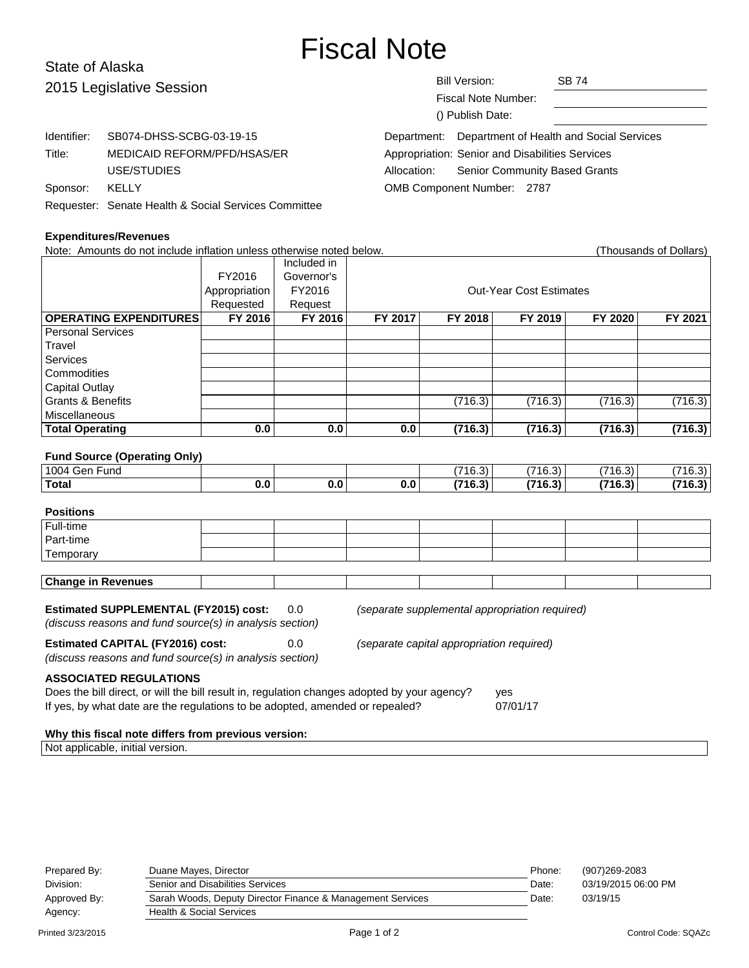# Fiscal Note

# State of Alaska  $2015$  L

| 2015 Legislative Session |                                                      | <b>Bill Version:</b><br><b>Fiscal Note Number:</b><br>() Publish Date: |                                                 | <b>SB 74</b>                                         |  |
|--------------------------|------------------------------------------------------|------------------------------------------------------------------------|-------------------------------------------------|------------------------------------------------------|--|
| Identifier:              | SB074-DHSS-SCBG-03-19-15                             |                                                                        |                                                 | Department: Department of Health and Social Services |  |
| Title:                   | MEDICAID REFORM/PFD/HSAS/ER                          |                                                                        | Appropriation: Senior and Disabilities Services |                                                      |  |
|                          | USE/STUDIES                                          | Allocation:                                                            | <b>Senior Community Based Grants</b>            |                                                      |  |
| Sponsor:                 | KELLY                                                | OMB Component Number: 2787                                             |                                                 |                                                      |  |
|                          | Requester: Senate Health & Social Services Committee |                                                                        |                                                 |                                                      |  |

#### **Expenditures/Revenues**

Note: Amounts do not include inflation unless otherwise noted below. Thousands of Dollars) (Thousands of Dollars) Included in FY2016 Governor's Appropriation FY2016 | Research Cut-Year Cost Estimates Requested Request **OPERATING EXPENDITURES FY 2016 FY 2016 FY 2017 FY 2018 FY 2019 FY 2020 FY 2021** Personal Services **Travel Services Commodities** Capital Outlay Grants & Benefits (716.3) (716.3) (716.3) (716.3) (716.3) Miscellaneous **Total Operating 0.0 0.0 0.0 (716.3) (716.3) (716.3) (716.3) Fund Source (Operating Only)** 1004 Gen Fund (716.3) (716.3) (716.3) (716.3) **Total 0.0 0.0 0.0 (716.3) (716.3) (716.3) (716.3) Positions** Full-time Part-time **Temporary Change in Revenues Estimated SUPPLEMENTAL (FY2015) cost:** 0.0 (separate supplemental appropriation required) (discuss reasons and fund source(s) in analysis section) **Estimated CAPITAL (FY2016) cost:** 0.0 (separate capital appropriation required) (discuss reasons and fund source(s) in analysis section) **ASSOCIATED REGULATIONS** Does the bill direct, or will the bill result in, regulation changes adopted by your agency? yes If yes, by what date are the regulations to be adopted, amended or repealed? 07/01/17

#### **Why this fiscal note differs from previous version:**

Not applicable, initial version.

| Prepared By: | Duane Mayes, Director                                      | Phone: | (907)269-2083       |
|--------------|------------------------------------------------------------|--------|---------------------|
| Division:    | Senior and Disabilities Services                           | Date:  | 03/19/2015 06:00 PM |
| Approved By: | Sarah Woods, Deputy Director Finance & Management Services | Date:  | 03/19/15            |
| Agency:      | <b>Health &amp; Social Services</b>                        |        |                     |